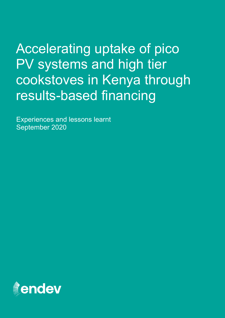Accelerating uptake of pico PV systems and high tier cookstoves in Kenya through results-based financing

Experiences and lessons learnt September 2020

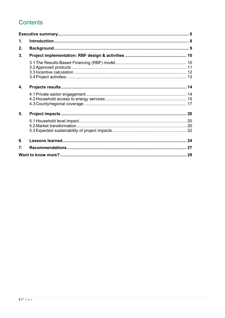# **Contents**

| $\mathbf 1$ .    |  |
|------------------|--|
| 2.               |  |
| 3.               |  |
|                  |  |
| 4.               |  |
|                  |  |
| 5.               |  |
|                  |  |
| 6.               |  |
| $\overline{7}$ . |  |
|                  |  |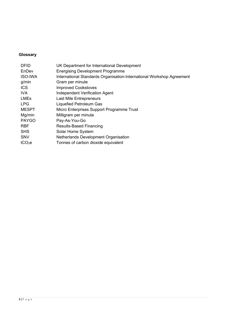# **Glossary**

| <b>DFID</b><br>EnDev<br><b>ISO-IWA</b> | UK Department for International Development<br><b>Energising Development Programme</b><br>International Standards Organisation-International Workshop Agreement |
|----------------------------------------|-----------------------------------------------------------------------------------------------------------------------------------------------------------------|
| g/min                                  | Gram per minute                                                                                                                                                 |
| <b>ICS</b>                             | <b>Improved Cookstoves</b>                                                                                                                                      |
| IVA.                                   | <b>Independent Verification Agent</b>                                                                                                                           |
| <b>LMEs</b>                            | <b>Last Mile Entrepreneurs</b>                                                                                                                                  |
| <b>LPG</b>                             | Liquefied Petroleum Gas                                                                                                                                         |
| <b>MESPT</b>                           | Micro Enterprises Support Programme Trust                                                                                                                       |
| Mg/min                                 | Milligram per minute                                                                                                                                            |
| <b>PAYGO</b>                           | Pay-As-You-Go                                                                                                                                                   |
| <b>RBF</b>                             | <b>Results-Based Financing</b>                                                                                                                                  |
| <b>SHS</b>                             | Solar Home System                                                                                                                                               |
| <b>SNV</b>                             | Netherlands Development Organisation                                                                                                                            |
| tCO <sub>2</sub> e                     | Tonnes of carbon dioxide equivalent                                                                                                                             |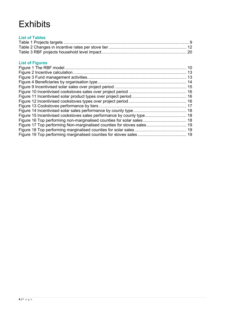# **Exhibits**

| <b>List of Tables</b> |  |
|-----------------------|--|
|                       |  |
|                       |  |
|                       |  |

## **List of Figures**

| Figure 17 Top performing Non-marginalised counties for stoves sales 19 |  |
|------------------------------------------------------------------------|--|
|                                                                        |  |
|                                                                        |  |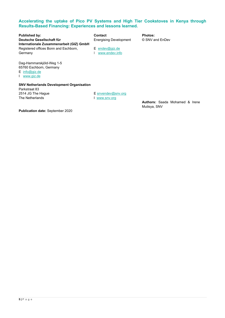#### **Accelerating the uptake of Pico PV Systems and High Tier Cookstoves in Kenya through Results-Based Financing: Experiences and lessons learned.**

**Published by:**<br> **Photos:**<br> **Deutsche Gesellschaft für**<br> **Contact**<br> **Contact**<br> **CONV** and EnDev<br> **Energising Development CONV** and EnDev **Internationale Zusammenarbeit (GIZ) GmbH** Registered offices Bonn and Eschborn, E [endev@giz.de](mailto:endev@giz.de)<br>Germany F www.endev.inf

**Energising Development** 

I [www.endev.info](http://www.endev.info/)

Dag-Hammarskjöld-Weg 1-5 65760 Eschborn, Germany E [info@giz.de](mailto:info@giz.de)

I [www.giz.de](http://www.giz.de/)

#### **SNV Netherlands Development Organisation**  Parkstraat 83

2514 JG The Hague The Netherlands

[E snvendev@snv.org](mailto:snvendev@snv.org) I [www.snv.org](http://www.snv.org/) 

**Authors:** Saada Mohamed & Irene Mutisya, SNV

**Publication date:** September 2020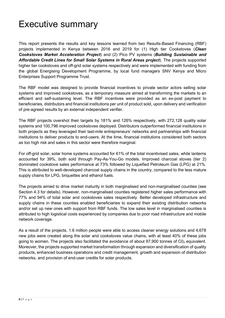# <span id="page-5-0"></span>Executive summary

This report presents the results and key lessons learned from two Results-Based Financing (RBF) projects implemented in Kenya between 2016 and 2019 for (1) High tier Cookstoves (*Clean Cookstoves Market Acceleration Project*) and (2) Pico PV systems (*Building Sustainable and Affordable Credit Lines for Small Solar Systems in Rural Areas project*). The projects supported higher tier cookstoves and off-grid solar systems respectively and were implemented with funding from the global Energising Development Programme, by local fund managers SNV Kenya and Micro Enterprises Support Programme Trust.

The RBF model was designed to provide financial incentives to private sector actors selling solar systems and improved cookstoves, as a temporary measure aimed at transforming the markets to an efficient and self-sustaining level. The RBF incentives were provided as an ex-post payment to beneficiaries, distributors and financial institutions per unit of product sold, upon delivery and verification of pre-agreed results by an external independent verifier.

The RBF projects overshot their targets by 181% and 126% respectively, with 272,128 quality solar systems and 100,796 improved cookstoves deployed. Distributors outperformed financial institutions in both projects as they leveraged their last-mile entrepreneurs' networks and partnerships with financial institutions to deliver products to end-users. At the time, financial institutions considered both sectors as too high risk and sales in this sector were therefore marginal.

For off-grid solar, solar home systems accounted for 61% of the total incentivised sales, while lanterns accounted for 39%, both sold through Pay-As-You-Go models. Improved charcoal stoves (tier 2) dominated cookstove sales performance at 73% followed by Liquefied Petroleum Gas (LPG) at 21%. This is attributed to well-developed charcoal supply chains in the country, compared to the less mature supply chains for LPG, briquettes and ethanol fuels.

The projects aimed to drive market maturity in both marginalised and non-marginalised counties (see Section [4.3](#page-16-0) for details). However, non-marginalised counties registered higher sales performance with 77% and 94% of total solar and cookstoves sales respectively. Better developed infrastructure and supply chains in these counties enabled beneficiaries to expand their existing distribution networks and/or set up new ones with support from RBF funds. The low sales level in marginalised counties is attributed to high logistical costs experienced by companies due to poor road infrastructure and mobile network coverage.

As a result of the projects, 1.6 million people were able to access cleaner energy solutions and 4,678 new jobs were created along the solar and cookstoves value chains, with at least 40% of these jobs going to women. The projects also facilitated the avoidance of about  $97,900$  tonnes of  $CO<sub>2</sub>$  equivalent. Moreover, the projects supported market transformation through expansion and diversification of quality products, enhanced business operations and credit management, growth and expansion of distribution networks, and provision of end-user credits for solar products.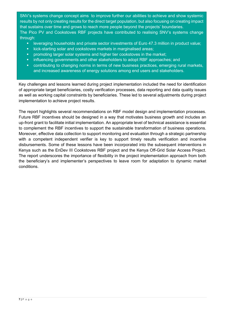SNV's systems change concept aims to improve further our abilities to achieve and show systemic results by not only creating results for the direct target population, but also focusing on creating impact that sustains over time and grows to reach more people beyond the projects' boundaries. The Pico PV and Cookstoves RBF projects have contributed to realising SNV's systems change through:

- **EXEDENT III is also an** investor investments of Euro 47.3 million in product value;
- **EXEDEE Kick-starting solar and cookstoves markets in marginalised areas;**
- **Part of the promoting larger solar systems and higher tier cookstoves in the market;**
- **EXT** influencing governments and other stakeholders to adopt RBF approaches; and
- contributing to changing norms in terms of new business practices, emerging rural markets, and increased awareness of energy solutions among end users and stakeholders.

Key challenges and lessons learned during project implementation included the need for identification of appropriate target beneficiaries, costly verification processes, data reporting and data quality issues as well as working capital constraints by beneficiaries. These led to several adjustments during project implementation to achieve project results.

The report highlights several recommendations on RBF model design and implementation processes. Future RBF incentives should be designed in a way that motivates business growth and includes an up-front grant to facilitate initial implementation. An appropriate level of technical assistance is essential to complement the RBF incentives to support the sustainable transformation of business operations. Moreover, effective data collection to support monitoring and evaluation through a strategic partnership with a competent independent verifier is key to support timely results verification and incentive disbursements. Some of these lessons have been incorporated into the subsequent interventions in Kenya such as the EnDev III Cookstoves RBF project and the Kenya Off-Grid Solar Access Project. The report underscores the importance of flexibility in the project implementation approach from both the beneficiary's and implementer's perspectives to leave room for adaptation to dynamic market conditions.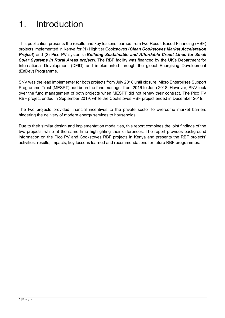# <span id="page-7-0"></span>1. Introduction

This publication presents the results and key lessons learned from two Result-Based Financing (RBF) projects implemented in Kenya for (1) High tier Cookstoves (*Clean Cookstoves Market Acceleration Project*) and (2) Pico PV systems (*Building Sustainable and Affordable Credit Lines for Small Solar Systems in Rural Areas project*). The RBF facility was financed by the UK's Department for International Development (DFID) and implemented through the global Energising Development (EnDev) Programme.

SNV was the lead implementer for both projects from July 2018 until closure. Micro Enterprises Support Programme Trust (MESPT) had been the fund manager from 2016 to June 2018. However, SNV took over the fund management of both projects when MESPT did not renew their contract. The Pico PV RBF project ended in September 2019, while the Cookstoves RBF project ended in December 2019.

The two projects provided financial incentives to the private sector to overcome market barriers hindering the delivery of modern energy services to households.

Due to their similar design and implementation modalities, this report combines the joint findings of the two projects, while at the same time highlighting their differences. The report provides background information on the Pico PV and Cookstoves RBF projects in Kenya and presents the RBF projects' activities, results, impacts, key lessons learned and recommendations for future RBF programmes.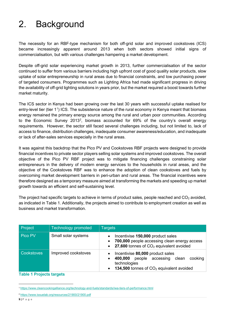# <span id="page-8-0"></span>2. Background

The necessity for an RBF-type mechanism for both off-grid solar and improved cookstoves (ICS) became increasingly apparent around 2013 when both sectors showed initial signs of commercialisation, but with various challenges hampering a market development.

Despite off-grid solar experiencing market growth in 2013, further commercialisation of the sector continued to suffer from various barriers including high upfront cost of good quality solar products, slow uptake of solar entrepreneurship in rural areas due to financial constraints, and low purchasing power of targeted consumers. Programmes such as Lighting Africa had made significant progress in driving the availability of off-grid lighting solutions in years prior, but the market required a boost towards further market maturity.

The ICS sector in Kenya had been growing over the last 30 years with successful uptake realised for entry-level tier (tier [1](#page-8-2)1) ICS. The subsistence nature of the rural economy in Kenya meant that biomass energy remained the primary energy source among the rural and urban poor communities. According to the Economic Survey [2](#page-8-3)013<sup>2</sup>, biomass accounted for 69% of the country's overall energy requirements. However, the sector still faced several challenges including, but not limited to, lack of access to finance, distribution challenges, inadequate consumer awareness/education, and inadequate or lack of after-sales services especially in the rural areas.

It was against this backdrop that the Pico PV and Cookstoves RBF projects were designed to provide financial incentives to private sector players selling solar systems and improved cookstoves. The overall objective of the Pico PV RBF project was to mitigate financing challenges constraining solar entrepreneurs in the delivery of modern energy services to the households in rural areas, and the objective of the Cookstoves RBF was to enhance the adoption of clean cookstoves and fuels by overcoming market development barriers in peri-urban and rural areas. The financial incentives were therefore designed as a temporary measure aimed at transforming the markets and speeding up market growth towards an efficient and self-sustaining level.

The project had specific targets to achieve in terms of product sales, people reached and  $CO<sub>2</sub>$  avoided, as indicated in Table 1. Additionally, the projects aimed to contribute to employment creation as well as business and market transformation.

| Project    | <b>Technology promoted</b> | <b>Targets</b>                                                                                                                                    |  |  |  |
|------------|----------------------------|---------------------------------------------------------------------------------------------------------------------------------------------------|--|--|--|
| Pico PV    | Small solar systems        | Incentivise 150,000 product sales<br>700,000 people accessing clean energy access<br>27,600 tonnes of CO <sub>2</sub> equivalent avoided          |  |  |  |
| Cookstoves | Improved cookstoves        | Incentivise 80,000 product sales<br>people accessing<br>400,000<br>cooking<br>clean<br>technologies<br>134,500 tonnes of $CO2$ equivalent avoided |  |  |  |

### <span id="page-8-1"></span>**Table 1 Projects targets**

<span id="page-8-2"></span><sup>1</sup> <https://www.cleancookingalliance.org/technology-and-fuels/standards/iwa-tiers-of-performance.html>

<span id="page-8-3"></span><sup>2</sup> <https://www.issuelab.org/resources/21900/21900.pdf>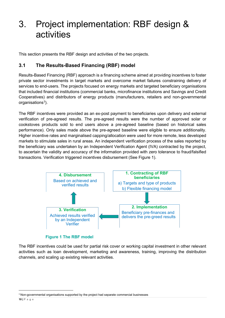# <span id="page-9-0"></span>3. Project implementation: RBF design & activities

This section presents the RBF design and activities of the two projects.

# <span id="page-9-1"></span>**3.1 The Results-Based Financing (RBF) model**

Results-Based Financing (RBF) approach is a financing scheme aimed at providing incentives to foster private sector investments in target markets and overcome market failures constraining delivery of services to end-users. The projects focused on energy markets and targeted beneficiary organisations that included financial institutions (commercial banks, microfinance institutions and Savings and Credit Cooperatives) and distributors of energy products (manufacturers, retailers and non-governmental organisations $^3$  $^3$ ).

The RBF incentives were provided as an ex-post payment to beneficiaries upon delivery and external verification of pre-agreed results. The pre-agreed results were the number of approved solar or cookstoves products sold to end users above a pre-agreed baseline (based on historical sales performance). Only sales made above the pre-agreed baseline were eligible to ensure additionality. Higher incentive rates and marginalised capping/allocation were used for more remote, less developed markets to stimulate sales in rural areas. An independent verification process of the sales reported by the beneficiary was undertaken by an Independent Verification Agent (IVA) contracted by the project, to ascertain the validity and accuracy of the information provided with zero tolerance to fraud/falsified transactions. Verification triggered incentives disbursement (See [Figure 1\)](#page-9-3).



## <span id="page-9-3"></span>**Figure 1 The RBF model**

<span id="page-9-2"></span>The RBF incentives could be used for partial risk cover or working capital investment in other relevant activities such as loan development, marketing and awareness, training, improving the distribution channels, and scaling up existing relevant activities.

<span id="page-9-4"></span><sup>&</sup>lt;sup>3</sup> Non-governmental organisations supported by the project had separate commercial businesses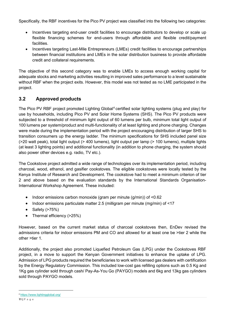Specifically, the RBF incentives for the Pico PV project was classified into the following two categories:

- Incentives targeting end-user credit facilities to encourage distributors to develop or scale up flexible financing schemes for end-users through affordable and flexible credit/payment facilities.
- Incentives targeting Last-Mile Entrepreneurs (LMEs) credit facilities to encourage partnerships between financial institutions and LMEs in the solar distribution business to provide affordable credit and collateral requirements.

The objective of this second category was to enable LMEs to access enough working capital for adequate stocks and marketing activities resulting in improved sales performance to a level sustainable without RBF when the project exits. However, this model was not tested as no LME participated in the project.

# <span id="page-10-0"></span>**3.2 Approved products**

The Pico PV RBF project promoted Lighting Global<sup>[4](#page-10-1)</sup> certified solar lighting systems (plug and play) for use by households, including Pico PV and Solar Home Systems (SHS). The Pico PV products were subjected to a threshold of minimum light output of 60 lumens per bulb, minimum total light output of 100 lumens per system/product and multi-functionality of at least lighting and phone charging. Changes were made during the implementation period with the project encouraging distribution of larger SHS to transition consumers up the energy ladder. The minimum specifications for SHS included panel size (>20 watt peak), total light output (> 400 lumens), light output per lamp (> 100 lumens), multiple lights (at least 3 lighting points) and additional functionality (in addition to phone charging, the system should also power other devices e.g. radio, TV etc.).

The Cookstove project admitted a wide range of technologies over its implementation period, including charcoal, wood, ethanol, and gasifier cookstoves. The eligible cookstoves were locally tested by the Kenya Institute of Research and Development. The cookstove had to meet a minimum criterion of tier 2 and above based on the evaluation standards by the International Standards Organisation-International Workshop Agreement. These included:

- Indoor emissions carbon monoxide (gram per minute (g/min)) of <0.62
- Indoor emissions particulate matter 2.5 (milligram per minute (mg/min) of <17
- Safety (>75%)
- Thermal efficiency (>25%)

However, based on the current market status of charcoal cookstoves then, EnDev revised the admissions criteria for indoor emissions PM and CO and allowed for at least one be >tier 2 while the other >tier 1.

Additionally, the project also promoted Liquefied Petroleum Gas (LPG) under the Cookstoves RBF project, in a move to support the Kenyan Government initiatives to enhance the uptake of LPG. Admission of LPG products required the beneficiaries to work with licensed gas dealers with certification by the Energy Regulatory Commission. This included low-cost gas refilling options such as 0.5 Kg and 1Kg gas cylinder sold through cash/ Pay-As-You Go (PAYGO) models and 6kg and 13kg gas cylinders sold through PAYGO models.

<span id="page-10-1"></span><sup>4</sup> <https://www.lightingglobal.org/>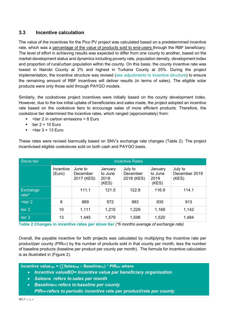# <span id="page-11-2"></span><span id="page-11-0"></span>**3.3 Incentive calculation**

The value of the incentives for the Pico PV project was calculated based on a predetermined incentive rate, which was a percentage of the value of products sold to end-users through the RBF beneficiary. The level of effort in achieving results was expected to differ from one county to another, based on the market development status and dynamics including poverty rate, population density, development index and proportion of rural/urban population within the county. On this basis, the county incentive rate was lowest in Nairobi County at 2% and highest in Turkana County at 25%. During the project implementation, the incentive structure was revised (see [adjustments to incentive structure\)](#page-23-1) to ensure the remaining amount of RBF incentives will deliver results (in terms of sales). The eligible solar products were only those sold through PAYGO models.

Similarly, the cookstoves project incentives were initially based on the county development index. However, due to the low initial uptake of beneficiaries and sales made, the project adopted an incentive rate based on the cookstove tiers to encourage sales of more efficient products. Therefore, the cookstove tier determined the incentive rates, which ranged (approximately) from:

- <tier 2 in carbon emissions = 8 Euro
- $\bullet$  tier 2 = 10 Euro
- $\blacktriangleright$  >tier 3 = 13 Euro

| Stove tier               | <b>Incentive Rates</b> |                                   |                                     |                                   |                                     |                                   |
|--------------------------|------------------------|-----------------------------------|-------------------------------------|-----------------------------------|-------------------------------------|-----------------------------------|
|                          | Incentive<br>(Euro)    | June to<br>December<br>2017 (KES) | January<br>to June<br>2018<br>(KES) | July to<br>December<br>2018 (KES) | January<br>to June<br>2019<br>(KES) | July to<br>December 2019<br>(KES) |
| <b>Exchange</b><br>rate* |                        | 111.1                             | 121.5                               | 122.8                             | 116.9                               | 114.1                             |
| $<$ tier 2               | 8                      | 889                               | 972                                 | 983                               | 935                                 | 913                               |
| tier 2                   | 10                     | 1,111                             | 1,215                               | 1,229                             | 1,169                               | 1,142                             |
| tier <sub>3</sub>        | 13                     | 1,445                             | 1,579                               | 1,598                             | 1,520                               | 1,484                             |

These rates were revised biannually based on SNV's exchange rate changes [\(Table 2\)](#page-11-1). The project incentivised eligible cookstoves sold on both cash and PAYGO basis.

<span id="page-11-1"></span>**Table 2 Changes in incentive rates per stove tier** *(\*6 months average of exchange rate)*

Overall, the payable incentive for both projects was calculated by multiplying the incentive rate per product/per county ( $PIR_{PP}$ ) by the number of products sold in that county per month, less the number of baseline products (baseline per product per county per month). The formula for incentive calculation is as illustrated in [\(Figure 2\)](#page-12-1).

```
Incentive value_{Bo} = (\sum_{s} Sales_{PM} - Baseline_{PC}) * PIR_{PP}; where
```
- *Incentive valueBO= Incentive value per beneficiary organisation*
- *SalesPM refers to sales per month*
- **Baseline<sub>PC</sub> refers to baseline per county** 
	- *PIRPP refers to periodic incentive rate per product/rate per county*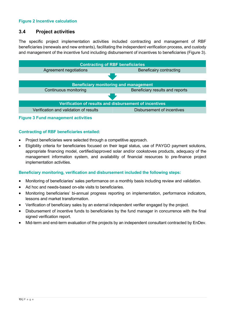## <span id="page-12-1"></span>**Figure 2 Incentive calculation**

# <span id="page-12-0"></span>**3.4 Project activities**

The specific project implementation activities included contracting and management of RBF beneficiaries (renewals and new entrants), facilitating the independent verification process, and custody and management of the incentive fund including disbursement of incentives to beneficiaries [\(Figure 3\)](#page-12-2).



<span id="page-12-2"></span>**Figure 3 Fund management activities**

## **Contracting of RBF beneficiaries entailed:**

- Project beneficiaries were selected through a competitive approach.
- Eligibility criteria for beneficiaries focused on their legal status, use of PAYGO payment solutions, appropriate financing model, certified/approved solar and/or cookstoves products, adequacy of the management information system, and availability of financial resources to pre-finance project implementation activities.

## **Beneficiary monitoring, verification and disbursement included the following steps:**

- Monitoring of beneficiaries' sales performance on a monthly basis including review and validation.
- Ad hoc and needs-based on-site visits to beneficiaries.
- Monitoring beneficiaries' bi-annual progress reporting on implementation, performance indicators, lessons and market transformation.
- Verification of beneficiary sales by an external independent verifier engaged by the project.
- Disbursement of incentive funds to beneficiaries by the fund manager in concurrence with the final signed verification report.
- Mid-term and end-term evaluation of the projects by an independent consultant contracted by EnDev.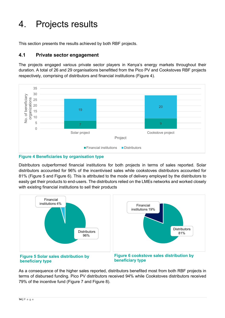# <span id="page-13-0"></span>4. Projects results

This section presents the results achieved by both RBF projects.

# <span id="page-13-1"></span>**4.1 Private sector engagement**

The projects engaged various private sector players in Kenya's energy markets throughout their duration. A total of 26 and 29 organisations benefitted from the Pico PV and Cookstoves RBF projects respectively, comprising of distributors and financial institutions [\(Figure 4\)](#page-13-2).



<span id="page-13-2"></span>

Distributors outperformed financial institutions for both projects in terms of sales reported. Solar distributors accounted for 96% of the incentivised sales while cookstoves distributors accounted for 81% (Figure 5 and Figure 6). This is attributed to the mode of delivery employed by the distributors to easily get their products to end-users. The distributors relied on the LMEs networks and worked closely with existing financial institutions to sell their products



**beneficiary type**

**beneficiary type**

As a consequence of the higher sales reported, distributors benefited most from both RBF projects in terms of disbursed funding. Pico PV distributors received 94% while Cookstoves distributors received 79% of the incentive fund [\(Figure 7](#page-14-2) and Figure 8).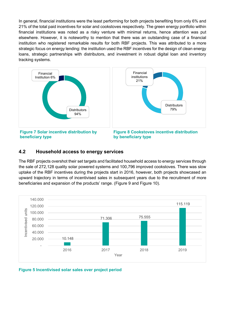In general, financial institutions were the least performing for both projects benefiting from only 6% and 21% of the total paid incentives for solar and cookstoves respectively. The green energy portfolio within financial institutions was noted as a risky venture with minimal returns, hence attention was put elsewhere. However, it is noteworthy to mention that there was an outstanding case of a financial institution who registered remarkable results for both RBF projects. This was attributed to a more strategic focus on energy lending: the institution used the RBF incentives for the design of clean energy loans, strategic partnerships with distributors, and investment in robust digital loan and inventory tracking systems.



## <span id="page-14-2"></span><span id="page-14-0"></span>**4.2 Household access to energy services**

The RBF projects overshot their set targets and facilitated household access to energy services through the sale of 272,128 quality solar powered systems and 100,796 improved cookstoves. There was slow uptake of the RBF incentives during the projects start in 2016, however, both projects showcased an upward trajectory in terms of incentivised sales in subsequent years due to the recruitment of more beneficiaries and expansion of the products' range. (Figure 9 and [Figure 10\)](#page-15-0).



<span id="page-14-1"></span>**Figure 5 Incentivised solar sales over project period**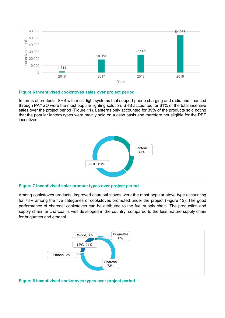

#### <span id="page-15-0"></span>**Figure 6 Incentivised cookstoves sales over project period**

In terms of products, SHS with multi-light systems that support phone charging and radio and financed through PAYGO were the most popular lighting solution. SHS accounted for 61% of the total incentive sales over the project period [\(Figure 11\)](#page-15-3). Lanterns only accounted for 39% of the products sold noting that the popular lantern types were mainly sold on a cash basis and therefore not eligible for the RBF incentives.



<span id="page-15-3"></span><span id="page-15-1"></span>**Figure 7 Incentivised solar product types over project period**

Among cookstoves products, improved charcoal stoves were the most popular stove type accounting for 73% among the five categories of cookstoves promoted under the project [\(Figure 12\)](#page-15-4). The good performance of charcoal cookstoves can be attributed to the fuel supply chain. The production and supply chain for charcoal is well developed in the country, compared to the less mature supply chain for briquettes and ethanol.



<span id="page-15-4"></span><span id="page-15-2"></span>**Figure 8 Incentivised cookstoves types over project period**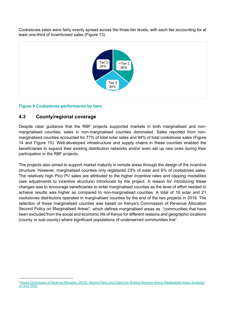Cookstoves sales were fairly evenly spread across the three-tier levels, with each tier accounting for at least one-third of incentivised sales [\(Figure 13\)](#page-16-2).



## <span id="page-16-2"></span><span id="page-16-1"></span>**Figure 9 Cookstoves performance by tiers**

# <span id="page-16-0"></span>**4.3 County/regional coverage**

Despite clear guidance that the RBF projects supported markets in both marginalised and nonmarginalised counties, sales in non-marginalised counties dominated. Sales reported from nonmarginalised counties accounted for 77% of total solar sales and 94% of total cookstoves sales [\(Figure](#page-17-3) [14](#page-17-3) and [Figure 15\)](#page-17-4). Well-developed infrastructure and supply chains in these counties enabled the beneficiaries to expand their existing distribution networks and/or even set up new ones during their participation in the RBF projects.

The projects also aimed to support market maturity in remote areas through the design of the incentive structure. However, marginalised counties only registered 23% of solar and 6% of cookstoves sales. The relatively high Pico PV sales are attributed to the higher incentive rates and capping modalities (see [adjustments to incentive structure\)](#page-23-2) introduced by the project. A reason for introducing these changes was to encourage beneficiaries to enter marginalised counties as the level of effort needed to achieve results was higher as compared to non-marginalised counties. A total of 18 solar and 21 cookstoves distributors operated in marginalised counties by the end of the two projects in 2019. The selection of these marginalised counties was based on Kenya's Commission of Revenue Allocation Second Policy on Marginalised Areas<sup>[5](#page-16-3)</sup>, which defines marginalised areas as "communities that have been excluded from the social and economic life of Kenya for different reasons and geographic locations (county or sub-county) where significant populations of underserved communities live".

<span id="page-16-3"></span><sup>5</sup> [Kenya Commission of Revenue Allocation. \(2018\). Second Policy and Criteria for Sharing Revenue among Marginalised Areas. Accessed](http://www.crakenya.org/wp-content/uploads/2018/06/CRA-37-Second-Policy-on-Marginalised-Areas-June-16th-2018.pdf)  [on June 2020.](http://www.crakenya.org/wp-content/uploads/2018/06/CRA-37-Second-Policy-on-Marginalised-Areas-June-16th-2018.pdf)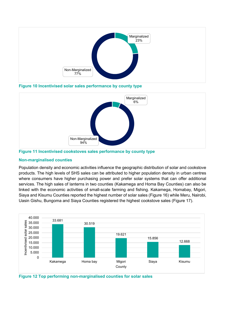

<span id="page-17-3"></span><span id="page-17-0"></span>**Figure 10 Incentivised solar sales performance by county type**



<span id="page-17-4"></span><span id="page-17-1"></span>

## **Non-marginalised counties**

Population density and economic activities influence the geographic distribution of solar and cookstove products. The high levels of SHS sales can be attributed to higher population density in urban centres where consumers have higher purchasing power and prefer solar systems that can offer additional services. The high sales of lanterns in two counties (Kakamega and Homa Bay Counties) can also be linked with the economic activities of small-scale farming and fishing. Kakamega, Homabay, Migori, Siaya and Kisumu Counties reported the highest number of solar sales [\(Figure 16\)](#page-17-5) while Meru, Nairobi, Uasin Gishu, Bungoma and Siaya Counties registered the highest cookstove sales [\(Figure 17\)](#page-18-3).



<span id="page-17-5"></span><span id="page-17-2"></span>**Figure 12 Top performing non-marginalised counties for solar sales**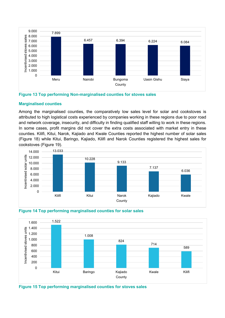

<span id="page-18-3"></span><span id="page-18-0"></span>

## **Marginalised counties**

Among the marginalised counties, the comparatively low sales level for solar and cookstoves is attributed to high logistical costs experienced by companies working in these regions due to poor road and network coverage, insecurity, and difficulty in finding qualified staff willing to work in these regions. In some cases, profit margins did not cover the extra costs associated with market entry in these counties. Kilifi, Kitui, Narok, Kajiado and Kwale Counties reported the highest number of solar sales [\(Figure 18\)](#page-18-4) while Kitui, Baringo, Kajiado, Kilifi and Narok Counties registered the highest sales for cookstoves [\(Figure 19\)](#page-18-5).



<span id="page-18-4"></span><span id="page-18-1"></span>

<span id="page-18-2"></span>

<span id="page-18-5"></span>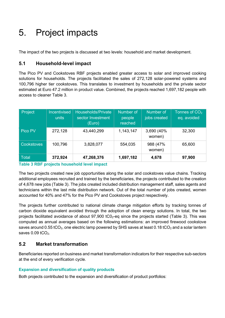# <span id="page-19-0"></span>5. Project impacts

The impact of the two projects is discussed at two levels: household and market development.

# <span id="page-19-1"></span>**5.1 Household-level impact**

The Pico PV and Cookstoves RBF projects enabled greater access to solar and improved cooking solutions for households. The projects facilitated the sales of 272,128 solar-powered systems and 100,796 higher tier cookstoves. This translates to investment by households and the private sector estimated at Euro 47.2 million in product value. Combined, the projects reached 1,697,182 people with access to cleaner [Table 3.](#page-19-4)

| Project           | <b>Incentivised</b><br>units | <b>Households/Private</b><br>sector Investment<br>(Euro) | Number of<br>people<br>reached | Number of<br>jobs created | Tonnes of $CO2$<br>eq. avoided |
|-------------------|------------------------------|----------------------------------------------------------|--------------------------------|---------------------------|--------------------------------|
| Pico PV           | 272,128                      | 43,440,299                                               | 1,143,147                      | 3,690 (40%)<br>women)     | 32,300                         |
| <b>Cookstoves</b> | 100,796                      | 3,828,077                                                | 554,035                        | 988 (47%<br>women)        | 65,600                         |
| <b>Total</b>      | 372,924                      | 47,268,376                                               | 1,697,182                      | 4,678                     | 97,900                         |

## <span id="page-19-4"></span><span id="page-19-3"></span>**Table 3 RBF projects household level impact**

The two projects created new job opportunities along the solar and cookstoves value chains. Tracking additional employees recruited and trained by the beneficiaries, the projects contributed to the creation of 4,678 new jobs [\(Table 3\)](#page-19-4). The jobs created included distribution management staff, sales agents and technicians within the last mile distribution network. Out of the total number of jobs created, women accounted for 40% and 47% for the Pico PV and Cookstoves project respectively.

The projects further contributed to national climate change mitigation efforts by tracking tonnes of carbon dioxide equivalent avoided through the adoption of clean energy solutions. In total, the two projects facilitated avoidance of about 97,900 tC0<sub>2</sub>-eq since the projects started [\(Table 3\)](#page-19-4). This was computed as annual averages based on the following estimations: an improved firewood cookstove saves around  $0.55$  tCO<sub>2</sub>, one electric lamp powered by SHS saves at least  $0.18$  tCO<sub>2</sub> and a solar lantern saves  $0.09$  tCO<sub>2</sub>.

# <span id="page-19-2"></span>**5.2 Market transformation**

Beneficiaries reported on business and market transformation indicators for their respective sub-sectors at the end of every verification cycle.

## **Expansion and diversification of quality products**

Both projects contributed to the expansion and diversification of product portfolios: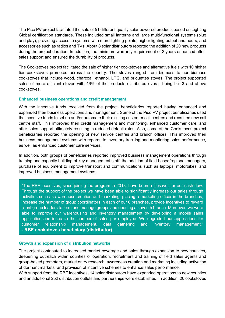The Pico PV project facilitated the sale of 51 different quality solar powered products based on Lighting Global certification standards. These included small lanterns and large multi-functional systems (plug and play), providing access to systems with more lighting points, higher lighting output and hours, and accessories such as radios and TVs. About 8 solar distributors reported the addition of 20 new products during the project duration. In addition, the minimum warranty requirement of 2 years enhanced aftersales support and ensured the durability of products.

The Cookstoves project facilitated the sale of higher tier cookstoves and alternative fuels with 10 higher tier cookstoves promoted across the country. The stoves ranged from biomass to non-biomass cookstoves that include wood, charcoal, ethanol, LPG, and briquettes stoves. The project supported sales of more efficient stoves with 46% of the products distributed overall being tier 3 and above cookstoves.

## **Enhanced business operations and credit management**

With the incentive funds received from the project, beneficiaries reported having enhanced and expanded their business operations and management. Some of the Pico PV project beneficiaries used the incentive funds to set up and/or automate their existing customer call centres and recruited new call centre staff. This improved their credit management and monitoring, enhanced customer care, and after-sales support ultimately resulting in reduced default rates. Also, some of the Cookstoves project beneficiaries reported the opening of new service centres and branch offices. This improved their business management systems with regards to inventory tracking and monitoring sales performance, as well as enhanced customer care services.

In addition, both groups of beneficiaries reported improved business management operations through training and capacity building of key management staff, the addition of field-based/regional managers, purchase of equipment to improve transport and communications such as laptops, motorbikes, and improved business management systems.

"The RBF incentives, since joining the program in 2018, have been a lifesaver for our cash flow. Through the support of the project we have been able to significantly increase our sales through activities such as awareness creation and marketing: placing a marketing officer in the branches, increase the number of group coordinators in each of our 6 branches, provide incentives to reward client group leaders to form and manage groups and opening a seventh branch. Moreover, we were able to improve our warehousing and inventory management by developing a mobile sales application and increase the number of sales per employee. We upgraded our applications for customer relationship management, data gathering and inventory management." **- RBF cookstoves beneficiary (distributor)**

### **Growth and expansion of distribution networks**

The project contributed to increased market coverage and sales through expansion to new counties, deepening outreach within counties of operation, recruitment and training of field sales agents and group-based promoters, market entry research, awareness creation and marketing including activation of dormant markets, and provision of incentive schemes to enhance sales performance.

With support from the RBF incentives, 14 solar distributors have expanded operations to new counties and an additional 252 distribution outlets and partnerships were established. In addition, 20 cookstoves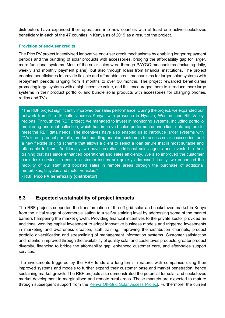distributors have expanded their operations into new counties with at least one active cookstoves beneficiary in each of the 47 counties in Kenya as of 2019 as a result of the project.

### **Provision of end-user credits**

The Pico PV project incentivised innovative end-user credit mechanisms by enabling longer repayment periods and the bundling of solar products with accessories, bridging the affordability gap for larger, more functional systems. Most of the solar sales were through PAYGO mechanisms (including daily, weekly and monthly payment plans), but also through loans from financial institutions. The project enabled beneficiaries to provide flexible and affordable credit mechanisms for larger solar systems with repayment periods ranging from 4 months to over 30 months. The project rewarded beneficiaries promoting large systems with a high incentive value, and this encouraged them to introduce more large systems in their product portfolio, and bundle solar products with accessories for charging phones, radios and TVs.

"The RBF project significantly improved our sales performance. During the project, we expanded our network from 9 to 16 outlets across Kenya, with presence in Nyanza, Western and Rift Valley regions. Through the RBF project, we managed to invest in monitoring systems, including portfolio monitoring and debt collection, which has improved sales performance and client data capture to meet the RBF data needs. The incentives have also enabled us to introduce larger systems with TVs in our product portfolio; product bundling enabled customers to access solar accessories; and a new flexible pricing scheme that allows a client to select a loan tenure that is most suitable and affordable to them. Additionally, we have recruited additional sales agents and invested in their training that has since enhanced operational and sales efficiency. We also improved the customer care desk services to ensure customer issues are quickly addressed. Lastly, we enhanced the mobility of our staff and boosted sales in remote areas through the purchase of additional motorbikes, bicycles and motor vehicles."

**- RBF Pico PV beneficiary (distributor)**

# <span id="page-21-0"></span>**5.3 Expected sustainability of project impacts**

The RBF projects supported the transformation of the off-grid solar and cookstoves market in Kenya from the initial stage of commercialisation to a self-sustaining level by addressing some of the market barriers hampering the market growth. Providing financial incentives to the private sector provided an additional working capital investment to adopt innovative business models and triggered investments in marketing and awareness creation, staff training, improving the distribution channels, product portfolio diversification and streamlining of management information systems. Customer satisfaction and retention improved through the availability of quality solar and cookstoves products, greater product diversity, financing to bridge the affordability gap, enhanced customer care, and after-sales support services.

The investments triggered by the RBF funds are long-term in nature, with companies using their improved systems and models to further expand their customer base and market penetration, hence sustaining market growth. The RBF projects also demonstrated the potential for solar and cookstoves market development in marginalised and remote rural areas. These markets are expected to mature through subsequent support from the [Kenya Off-Grid Solar Access Project.](https://kosap-fm.org/) Furthermore, the current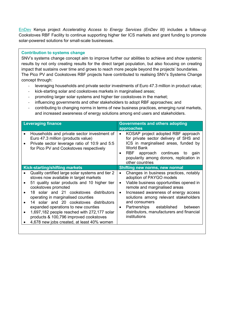[EnDev](https://snv.org/project/endev-iii-kenya-accelerating-access-energy-services) Kenya project *Accelerating Access to Energy Services (EnDev III)* includes a follow-up Cookstoves RBF Facility to continue supporting higher tier ICS markets and grant funding to promote solar-powered solutions for small-scale businesses.

## **Contribution to systems change**

SNV's systems change concept aim to improve further our abilities to achieve and show systemic results by not only creating results for the direct target population, but also focusing on creating impact that sustains over time and grows to reach more people beyond the projects' boundaries. The Pico PV and Cookstoves RBF projects have contributed to realising SNV's Systems Change concept through:

- leveraging households and private sector investments of Euro 47.3 million in product value;
- kick-starting solar and cookstoves markets in marginalised areas;
- promoting larger solar systems and higher tier cookstoves in the market;
- influencing governments and other stakeholders to adopt RBF approaches; and
- contributing to changing norms in terms of new business practices, emerging rural markets, and increased awareness of energy solutions among end users and stakeholders.

| <b>Leveraging finance</b>                                                                                                                                                                                                                                                                                                                                                                                                                                                                                                       | <b>Governments and others adopting</b><br>approaches                                                                                                                                                                                                                                                                                                                                                        |
|---------------------------------------------------------------------------------------------------------------------------------------------------------------------------------------------------------------------------------------------------------------------------------------------------------------------------------------------------------------------------------------------------------------------------------------------------------------------------------------------------------------------------------|-------------------------------------------------------------------------------------------------------------------------------------------------------------------------------------------------------------------------------------------------------------------------------------------------------------------------------------------------------------------------------------------------------------|
| Households and private sector investment of<br>$\bullet$<br>Euro 47.3 million (products value)<br>Private sector leverage ratio of 10:9 and 5:5<br>$\bullet$<br>for Pico PV and Cookstoves respectively                                                                                                                                                                                                                                                                                                                         | KOSAP project adopted RBF approach<br>$\bullet$<br>for private sector delivery of SHS and<br>ICS in marginalised areas, funded by<br><b>World Bank</b><br>RBF approach continues to<br>gain<br>$\bullet$<br>popularity among donors, replication in<br>other countries                                                                                                                                      |
| <b>Kick-starting/shifting markets</b>                                                                                                                                                                                                                                                                                                                                                                                                                                                                                           | <b>Shifting new norms, new normal</b>                                                                                                                                                                                                                                                                                                                                                                       |
| Quality certified large solar systems and tier 2<br>stoves now available in target markets<br>51 quality solar products and 10 higher tier<br>$\bullet$<br>cookstoves promoted<br>18 solar and 21 cookstoves distributors<br>$\bullet$<br>operating in marginalised counties<br>14 solar and 20 cookstoves distributors<br>$\bullet$<br>expanded operations to new counties<br>1,697,182 people reached with 272,177 solar<br>$\bullet$<br>products & 100,796 improved cookstoves<br>4,678 new jobs created, at least 40% women | Changes in business practices, notably<br>$\bullet$<br>adoption of PAYGO models<br>Viable business opportunities opened in<br>$\bullet$<br>remote and marginalised areas<br>Increased awareness of energy access<br>$\bullet$<br>solutions among relevant stakeholders<br>and consumers<br>established<br>Partnerships<br>between<br>$\bullet$<br>distributors, manufacturers and financial<br>institutions |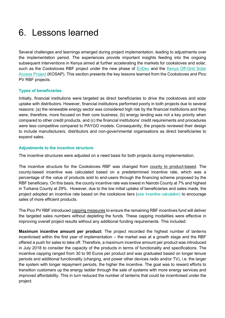# <span id="page-23-0"></span>6. Lessons learned

Several challenges and learnings emerged during project implementation, leading to adjustments over the implementation period. The experiences provide important insights feeding into the ongoing subsequent interventions in Kenya aimed at further accelerating the markets for cookstoves and solar, such as the Cookstoves RBF project under the new phase of EnDey and the Kenya Off-Grid Solar [Access Project](https://kosap-fm.org/) (KOSAP). This section presents the key lessons learned from the Cookstoves and Pico PV RBF projects.

## **Types of beneficiaries**

Initially, financial institutions were targeted as direct beneficiaries to drive the cookstoves and solar uptake with distributors. However, financial institutions performed poorly in both projects due to several reasons: (a) the renewable energy sector was considered high risk by the financial institutions and they were, therefore, more focused on their core business; (b) energy lending was not a key priority when compared to other credit products, and (c) the financial institutions' credit requirements and procedures were less competitive compared to PAYGO models. Consequently, the projects reviewed their design to include manufacturers, distributors and non-governmental organisations as direct beneficiaries to expand sales.

## <span id="page-23-2"></span><span id="page-23-1"></span>**Adjustments to the incentive structure**

The incentive structures were adjusted on a need basis for both projects during implementation.

The incentive structure for the Cookstoves RBF was changed from county to product-based. The county-based incentive was calculated based on a predetermined incentive rate, which was a percentage of the value of products sold to end-users through the financing scheme proposed by the RBF beneficiary. On this basis, the county incentive rate was lowest in Nairobi County at 7% and highest in Turkana County at 29%. However, due to the low initial uptake of beneficiaries and sales made, the project adopted an incentive rate based on the cookstove tiers (see [Incentive calculation\)](#page-11-2) to encourage sales of more efficient products.

The Pico PV RBF introduced capping measures to ensure the remaining RBF incentives fund will deliver the targeted sales numbers without depleting the funds. These capping modalities were effective in improving overall project results without any additional funding requirements. This included:

**Maximum incentive amount per product:** The project recorded the highest number of lanterns incentivised within the first year of implementation – the market was at a growth stage and the RBF offered a push for sales to take off. Therefore, a maximum incentive amount per product was introduced in July 2018 to consider the capacity of the products in terms of functionality and specifications. The incentive capping ranged from 30 to 90 Euros per product and was graduated based on longer tenure periods and additional functionality (charging, and power other devices radio and/or TV), i.e. the larger the system with longer repayment periods, the higher the incentive. The goal was to reward efforts to transition customers up the energy ladder through the sale of systems with more energy services and improved affordability. This in turn reduced the number of lanterns that could be incentivised under the project.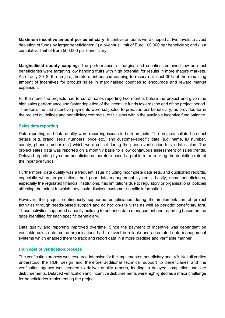**Maximum incentive amount per beneficiary:** Incentive amounts were capped at two levels to avoid depletion of funds by larger beneficiaries: (i) a bi-annual limit of Euro 100,000 per beneficiary; and (ii) a cumulative limit of Euro 500,000 per beneficiary.

**Marginalised county capping:** The performance in marginalised counties remained low as most beneficiaries were targeting low hanging fruits with high potential for results in more mature markets. As of July 2018, the project, therefore, introduced capping to reserve at least 30% of the remaining amount of incentives for product sales in marginalised counties to encourage and reward market expansion.

Furthermore, the projects had to cut off sales reporting two months before the project end given the high sales performance and faster depletion of the incentive funds towards the end of the project period. Therefore, the last incentive payments were subjected to proration per beneficiary, as provided for in the project guidelines and beneficiary contracts, to fit claims within the available incentive fund balance.

### **Sales data reporting**

Data reporting and data quality were recurring issues in both projects. The projects collated product details (e.g. brand, serial numbers, price etc.) and customer-specific data (e.g. name, ID number, county, phone number etc.) which were critical during the phone verification to validate sales. The project sales data was reported on a monthly basis to allow continuous assessment of sales trends. Delayed reporting by some beneficiaries therefore posed a problem for tracking the depletion rate of the incentive funds.

Furthermore, data quality was a frequent issue including incomplete data sets, and duplicated records, especially where organisations had poor data management systems. Lastly, some beneficiaries, especially the regulated financial institutions, had limitations due to regulatory or organisational policies affecting the extent to which they could disclose customer-specific information.

However, the project continuously supported beneficiaries during the implementation of project activities through needs-based support and ad hoc on-site visits as well as periodic beneficiary fora. These activities supported capacity building to enhance data management and reporting based on the gaps identified for each specific beneficiary.

Data quality and reporting improved overtime. Since the payment of incentive was dependent on verifiable sales data, some organisations had to invest in reliable and automated data management systems which enabled them to track and report data in a more credible and verifiable manner.

### **High cost of verification process**

The verification process was resource-intensive for the implementer, beneficiary and IVA. Not all parties understood the RBF design and therefore additional technical support to beneficiaries and the verification agency was needed to deliver quality reports, leading to delayed completion and late disbursements. Delayed verification and incentive disbursements were highlighted as a major challenge for beneficiaries implementing the project.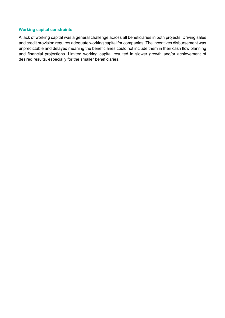### **Working capital constraints**

A lack of working capital was a general challenge across all beneficiaries in both projects. Driving sales and credit provision requires adequate working capital for companies. The incentives disbursement was unpredictable and delayed meaning the beneficiaries could not include them in their cash flow planning and financial projections. Limited working capital resulted in slower growth and/or achievement of desired results, especially for the smaller beneficiaries.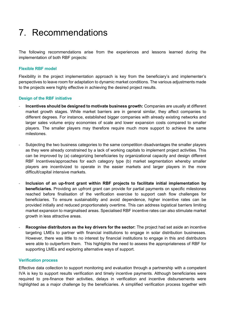# <span id="page-26-0"></span>7. Recommendations

The following recommendations arise from the experiences and lessons learned during the implementation of both RBF projects:

## **Flexible RBF model**

Flexibility in the project implementation approach is key from the beneficiary's and implementer's perspectives to leave room for adaptation to dynamic market conditions. The various adjustments made to the projects were highly effective in achieving the desired project results.

## **Design of the RBF initiative**

- **Incentives should be designed to motivate business growth:** Companies are usually at different market growth stages. While market barriers are in general similar, they affect companies to different degrees. For instance, established bigger companies with already existing networks and larger sales volume enjoy economies of scale and lower expansion costs compared to smaller players. The smaller players may therefore require much more support to achieve the same milestones.
- Subjecting the two business categories to the same competition disadvantages the smaller players as they were already constrained by a lack of working capitals to implement project activities. This can be improved by (a) categorizing beneficiaries by organizational capacity and design different RBF Incentives/approaches for each category type (b) market segmentation whereby smaller players are incentivized to operate in the easier markets and larger players in the more difficult/capital intensive markets.
- **Inclusion of an up-front grant within RBF projects to facilitate initial implementation by beneficiaries.** Providing an upfront grant can provide for partial payments on specific milestones reached before finalisation of the verification exercise to support cash flow challenges for beneficiaries. To ensure sustainability and avoid dependence, higher incentive rates can be provided initially and reduced proportionately overtime. This can address logistical barriers limiting market expansion to marginalised areas. Specialised RBF incentive rates can also stimulate market growth in less attractive areas.
- **Recognise distributors as the key drivers for the sector:** The project had set aside an incentive targeting LMEs to partner with financial institutions to engage in solar distribution businesses. However, there was little to no interest by financial institutions to engage in this and distributors were able to outperform them. This highlights the need to assess the appropriateness of RBF for supporting LMEs and exploring alternative ways of support.

### **Verification process**

Effective data collection to support monitoring and evaluation through a partnership with a competent IVA is key to support results verification and timely incentive payments. Although beneficiaries were required to pre-finance their activities, delays in verification and incentive disbursements were highlighted as a major challenge by the beneficiaries. A simplified verification process together with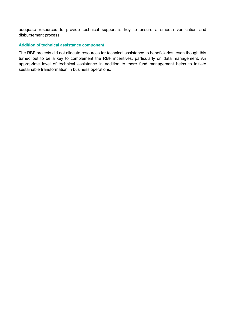adequate resources to provide technical support is key to ensure a smooth verification and disbursement process.

#### **Addition of technical assistance component**

The RBF projects did not allocate resources for technical assistance to beneficiaries, even though this turned out to be a key to complement the RBF incentives, particularly on data management. An appropriate level of technical assistance in addition to mere fund management helps to initiate sustainable transformation in business operations.